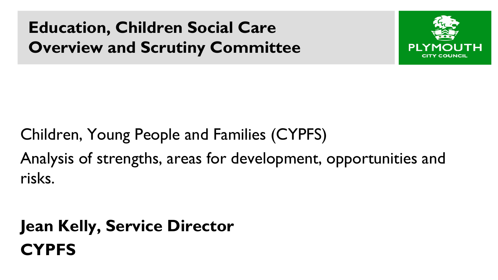**Education, Children Social Care Overview and Scrutiny Committee** 



Children, Young People and Families (CYPFS) Analysis of strengths, areas for development, opportunities and risks.

**Jean Kelly, Service Director CYPFS**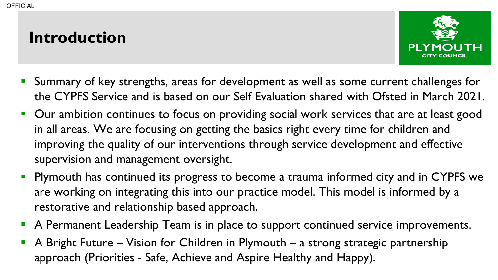#### **Introduction**



- **Summary of key strengths, areas for development as well as some current challenges for** the CYPFS Service and is based on our Self Evaluation shared with Ofsted in March 2021.
- **Our ambition continues to focus on providing social work services that are at least good** in all areas. We are focusing on getting the basics right every time for children and improving the quality of our interventions through service development and effective supervision and management oversight.
- **Plymouth has continued its progress to become a trauma informed city and in CYPFS we** are working on integrating this into our practice model. This model is informed by a restorative and relationship based approach.
- A Permanent Leadership Team is in place to support continued service improvements.
- A Bright Future Vision for Children in Plymouth a strong strategic partnership approach (Priorities - Safe, Achieve and Aspire Healthy and Happy).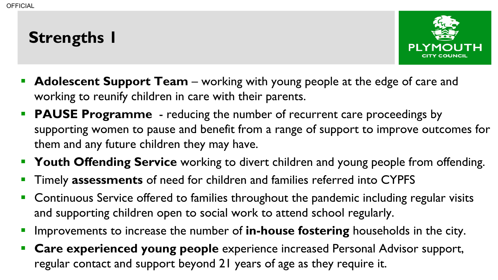# **Strengths 1**



- **Adolescent Support Team** working with young people at the edge of care and working to reunify children in care with their parents.
- **PAUSE Programme** reducing the number of recurrent care proceedings by supporting women to pause and benefit from a range of support to improve outcomes for them and any future children they may have.
- **Trangele Time Time Service** working to divert children and young people from offending.
- Timely **assessments** of need for children and families referred into CYPFS
- **Continuous Service offered to families throughout the pandemic including regular visits** and supporting children open to social work to attend school regularly.
- Improvements to increase the number of **in-house fostering** households in the city.
- **Care experienced young people** experience increased Personal Advisor support, regular contact and support beyond 21 years of age as they require it.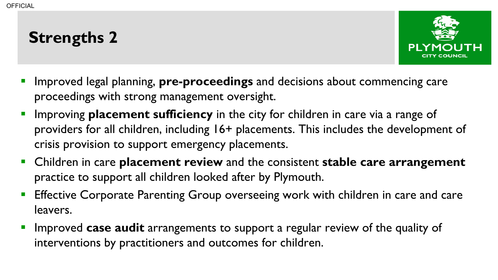## **Strengths 2**



- Improved legal planning, **pre-proceedings** and decisions about commencing care proceedings with strong management oversight.
- **IMPROVIME PLACEMENT SUfficiency** in the city for children in care via a range of providers for all children, including 16+ placements. This includes the development of crisis provision to support emergency placements.
- Children in care **placement review** and the consistent **stable care arrangement**  practice to support all children looked after by Plymouth.
- Effective Corporate Parenting Group overseeing work with children in care and care leavers.
- Improved **case audit** arrangements to support a regular review of the quality of interventions by practitioners and outcomes for children.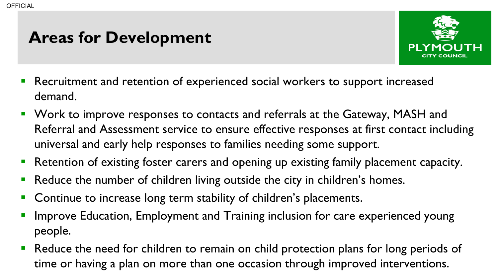#### **Areas for Development**



- **Recruitment and retention of experienced social workers to support increased** demand.
- **Work to improve responses to contacts and referrals at the Gateway, MASH and** Referral and Assessment service to ensure effective responses at first contact including universal and early help responses to families needing some support.
- **Retention of existing foster carers and opening up existing family placement capacity.**
- Reduce the number of children living outside the city in children's homes.
- Continue to increase long term stability of children's placements.
- Improve Education, Employment and Training inclusion for care experienced young people.
- **Reduce the need for children to remain on child protection plans for long periods of** time or having a plan on more than one occasion through improved interventions.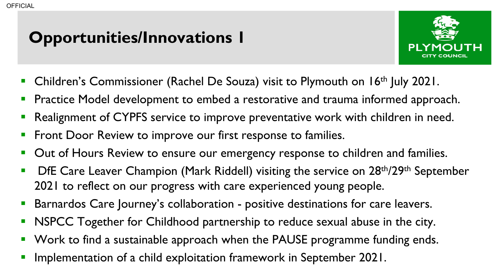# **Opportunities/Innovations 1**



- Children's Commissioner (Rachel De Souza) visit to Plymouth on 16th July 2021.
- Practice Model development to embed a restorative and trauma informed approach.
- Realignment of CYPFS service to improve preventative work with children in need.
- Front Door Review to improve our first response to families.
- Out of Hours Review to ensure our emergency response to children and families.
- DfE Care Leaver Champion (Mark Riddell) visiting the service on 28<sup>th</sup>/29<sup>th</sup> September 2021 to reflect on our progress with care experienced young people.
- Barnardos Care Journey's collaboration positive destinations for care leavers.
- NSPCC Together for Childhood partnership to reduce sexual abuse in the city.
- Work to find a sustainable approach when the PAUSE programme funding ends.
- Implementation of a child exploitation framework in September 2021.